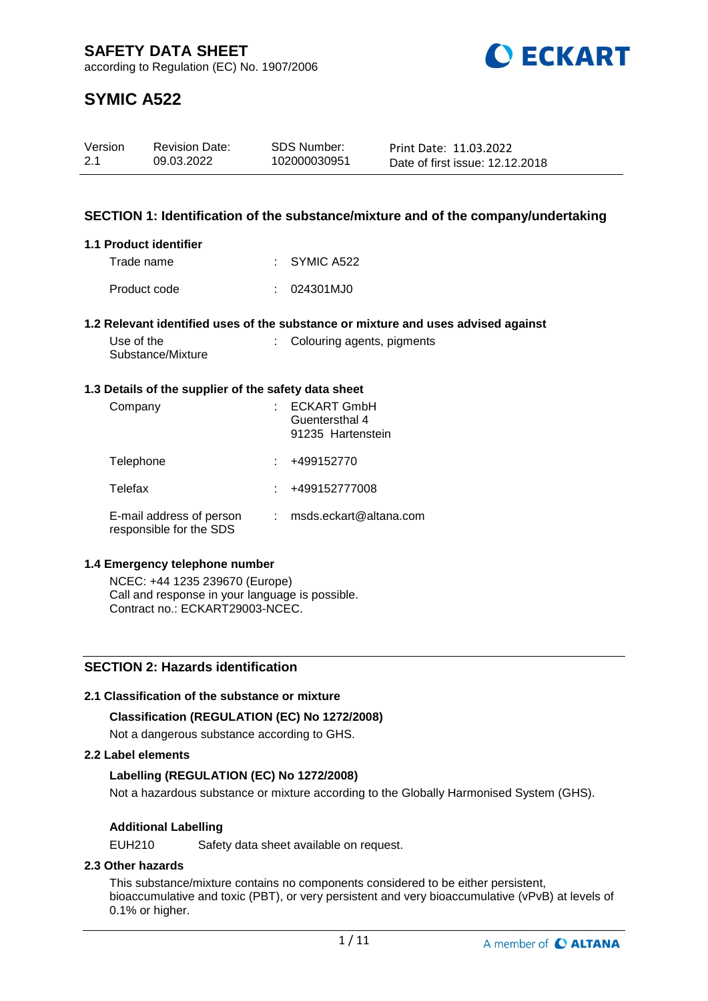

# **SYMIC A522**

| Version | <b>Revision Date:</b> | SDS Number:  | Print Date: 11.03.2022          |
|---------|-----------------------|--------------|---------------------------------|
| 2.1     | 09.03.2022            | 102000030951 | Date of first issue: 12.12.2018 |

## **SECTION 1: Identification of the substance/mixture and of the company/undertaking**

## **1.1 Product identifier**

| Trade name   | $\therefore$ SYMIC A522 |
|--------------|-------------------------|
| Product code | : 024301MJ0             |

## **1.2 Relevant identified uses of the substance or mixture and uses advised against**

| Use of the        |  |
|-------------------|--|
| Substance/Mixture |  |

## : Colouring agents, pigments

## **1.3 Details of the supplier of the safety data sheet**

| Company                                             | <b>ECKART GmbH</b><br>Guentersthal 4<br>91235 Hartenstein |
|-----------------------------------------------------|-----------------------------------------------------------|
| Telephone                                           | +499152770                                                |
| Telefax                                             | +499152777008                                             |
| E-mail address of person<br>responsible for the SDS | msds.eckart@altana.com                                    |

## **1.4 Emergency telephone number**

NCEC: +44 1235 239670 (Europe) Call and response in your language is possible. Contract no.: ECKART29003-NCEC.

## **SECTION 2: Hazards identification**

## **2.1 Classification of the substance or mixture**

## **Classification (REGULATION (EC) No 1272/2008)**

Not a dangerous substance according to GHS.

## **2.2 Label elements**

## **Labelling (REGULATION (EC) No 1272/2008)**

Not a hazardous substance or mixture according to the Globally Harmonised System (GHS).

## **Additional Labelling**

EUH210 Safety data sheet available on request.

## **2.3 Other hazards**

This substance/mixture contains no components considered to be either persistent, bioaccumulative and toxic (PBT), or very persistent and very bioaccumulative (vPvB) at levels of 0.1% or higher.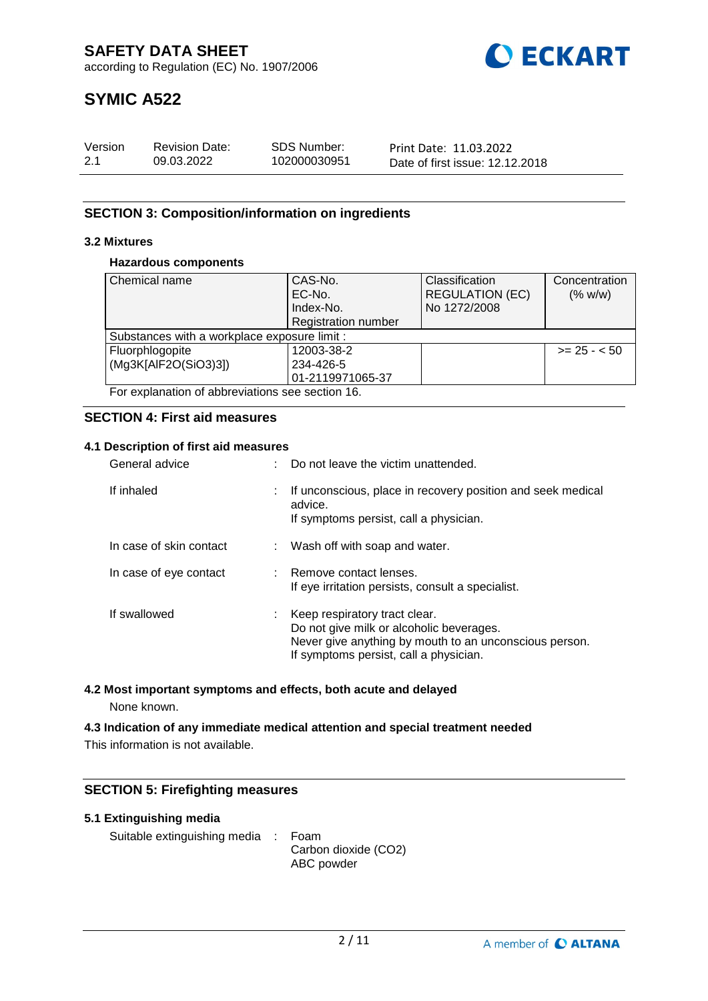

# **SYMIC A522**

| Version | <b>Revision Date:</b> | SDS Number:  | Print Date: 11.03.2022          |
|---------|-----------------------|--------------|---------------------------------|
| 2.1     | 09.03.2022            | 102000030951 | Date of first issue: 12.12.2018 |

## **SECTION 3: Composition/information on ingredients**

## **3.2 Mixtures**

## **Hazardous components**

| Chemical name                                   | CAS-No.                    | Classification         | Concentration |
|-------------------------------------------------|----------------------------|------------------------|---------------|
|                                                 | EC-No.                     | <b>REGULATION (EC)</b> | (% w/w)       |
|                                                 | Index-No.                  | No 1272/2008           |               |
|                                                 | <b>Registration number</b> |                        |               |
| Substances with a workplace exposure limit :    |                            |                        |               |
| Fluorphlogopite                                 | 12003-38-2                 |                        | $>= 25 - 50$  |
| (Mg3K[AlF2O(SiO3)3])                            | 234-426-5                  |                        |               |
|                                                 | 01-2119971065-37           |                        |               |
| For explanation of abbreviations see section 16 |                            |                        |               |

For explanation of abbreviations see section 16.

## **SECTION 4: First aid measures**

## **4.1 Description of first aid measures**

| General advice          |    | Do not leave the victim unattended.                                                                                                                                             |
|-------------------------|----|---------------------------------------------------------------------------------------------------------------------------------------------------------------------------------|
| If inhaled              | t. | If unconscious, place in recovery position and seek medical<br>advice.<br>If symptoms persist, call a physician.                                                                |
| In case of skin contact |    | : Wash off with soap and water.                                                                                                                                                 |
| In case of eye contact  |    | : Remove contact lenses.<br>If eye irritation persists, consult a specialist.                                                                                                   |
| If swallowed            |    | : Keep respiratory tract clear.<br>Do not give milk or alcoholic beverages.<br>Never give anything by mouth to an unconscious person.<br>If symptoms persist, call a physician. |

## **4.2 Most important symptoms and effects, both acute and delayed**

None known.

**4.3 Indication of any immediate medical attention and special treatment needed** This information is not available.

## **SECTION 5: Firefighting measures**

## **5.1 Extinguishing media**

Suitable extinguishing media : Foam

Carbon dioxide (CO2) ABC powder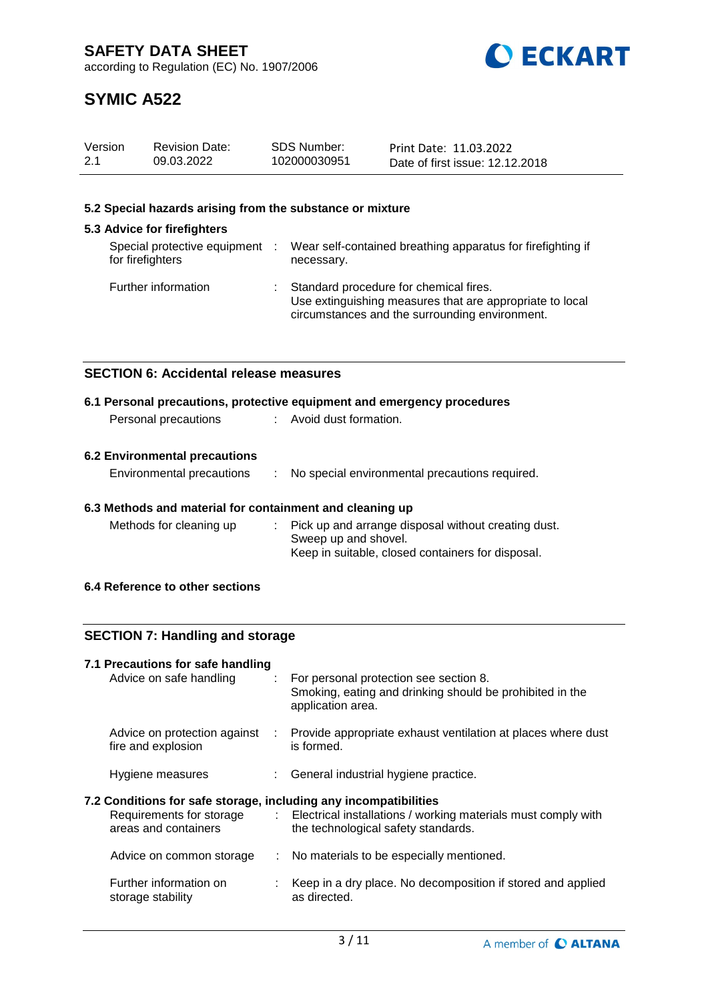

# **SYMIC A522**

| Version | <b>Revision Date:</b> | SDS Number:  | Print Date: 11.03.2022          |
|---------|-----------------------|--------------|---------------------------------|
| 2.1     | 09.03.2022            | 102000030951 | Date of first issue: 12.12.2018 |

## **5.2 Special hazards arising from the substance or mixture**

#### **5.3 Advice for firefighters** Special protective equipment : for firefighters : Wear self-contained breathing apparatus for firefighting if necessary. Further information : Standard procedure for chemical fires. Use extinguishing measures that are appropriate to local circumstances and the surrounding environment.

## **SECTION 6: Accidental release measures**

|                      | 6.1 Personal precautions, protective equipment and emergency procedures |  |
|----------------------|-------------------------------------------------------------------------|--|
| Personal precautions | : Avoid dust formation.                                                 |  |
|                      |                                                                         |  |

## **6.2 Environmental precautions**

| Environmental precautions |  | No special environmental precautions required. |
|---------------------------|--|------------------------------------------------|
|---------------------------|--|------------------------------------------------|

## **6.3 Methods and material for containment and cleaning up**

| Methods for cleaning up | : Pick up and arrange disposal without creating dust. |
|-------------------------|-------------------------------------------------------|
|                         | Sweep up and shovel.                                  |
|                         | Keep in suitable, closed containers for disposal.     |

## **6.4 Reference to other sections**

## **SECTION 7: Handling and storage**

| 7.1 Precautions for safe handling<br>Advice on safe handling     |          | : For personal protection see section 8.<br>Smoking, eating and drinking should be prohibited in the<br>application area.       |
|------------------------------------------------------------------|----------|---------------------------------------------------------------------------------------------------------------------------------|
| Advice on protection against<br>fire and explosion               | -11 - 11 | Provide appropriate exhaust ventilation at places where dust<br>is formed.                                                      |
| Hygiene measures                                                 |          | : General industrial hygiene practice.                                                                                          |
| 7.2 Conditions for safe storage, including any incompatibilities |          |                                                                                                                                 |
| areas and containers                                             |          | Requirements for storage : Electrical installations / working materials must comply with<br>the technological safety standards. |
| Advice on common storage                                         |          | : No materials to be especially mentioned.                                                                                      |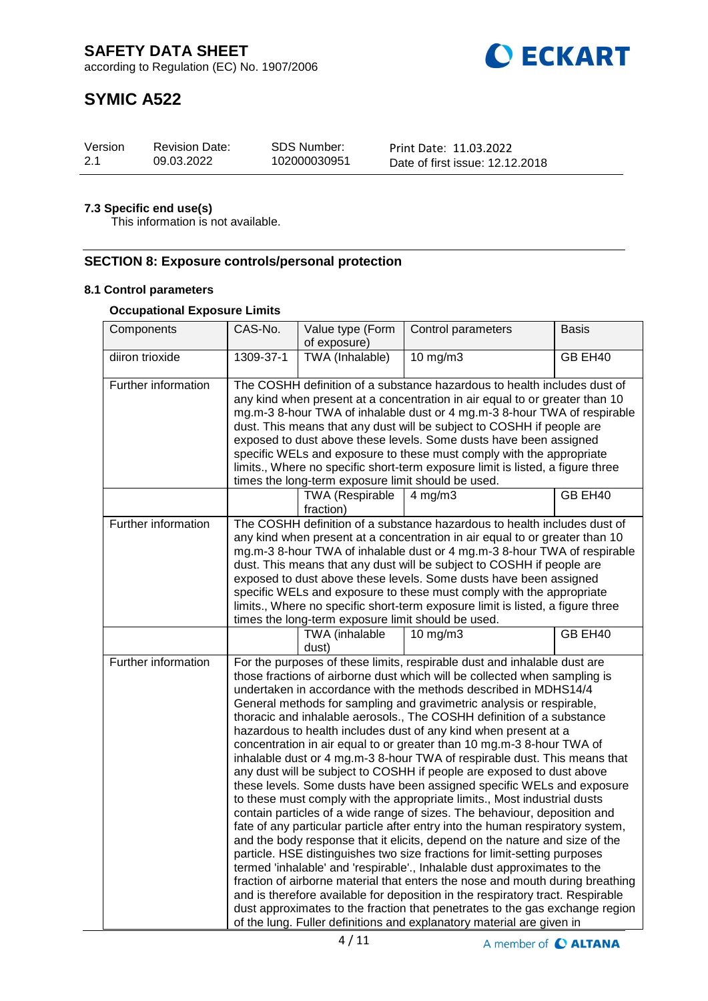**O ECKART** 

according to Regulation (EC) No. 1907/2006

# **SYMIC A522**

| Version | <b>Revision Date:</b> | <b>SDS Number:</b> | Print Date: 11.03.2022          |
|---------|-----------------------|--------------------|---------------------------------|
| -2.1    | 09.03.2022            | 102000030951       | Date of first issue: 12.12.2018 |

## **7.3 Specific end use(s)**

This information is not available.

## **SECTION 8: Exposure controls/personal protection**

## **8.1 Control parameters**

## **Occupational Exposure Limits**

| Components          | CAS-No.                                                                                                                                                                                                                                                                                                                                                                                                                                                                                                                                                                                                                                                                                                                                                                                                                                                                                                                                                                                                                                                                                                                                                                                                                                                                                                                                                                                                                                                                                                                                                              | Value type (Form                                   | Control parameters                                                                                                                                                                                                                                                                                                                                                                                                                                                                                                                          | Basis   |
|---------------------|----------------------------------------------------------------------------------------------------------------------------------------------------------------------------------------------------------------------------------------------------------------------------------------------------------------------------------------------------------------------------------------------------------------------------------------------------------------------------------------------------------------------------------------------------------------------------------------------------------------------------------------------------------------------------------------------------------------------------------------------------------------------------------------------------------------------------------------------------------------------------------------------------------------------------------------------------------------------------------------------------------------------------------------------------------------------------------------------------------------------------------------------------------------------------------------------------------------------------------------------------------------------------------------------------------------------------------------------------------------------------------------------------------------------------------------------------------------------------------------------------------------------------------------------------------------------|----------------------------------------------------|---------------------------------------------------------------------------------------------------------------------------------------------------------------------------------------------------------------------------------------------------------------------------------------------------------------------------------------------------------------------------------------------------------------------------------------------------------------------------------------------------------------------------------------------|---------|
|                     |                                                                                                                                                                                                                                                                                                                                                                                                                                                                                                                                                                                                                                                                                                                                                                                                                                                                                                                                                                                                                                                                                                                                                                                                                                                                                                                                                                                                                                                                                                                                                                      | of exposure)                                       |                                                                                                                                                                                                                                                                                                                                                                                                                                                                                                                                             |         |
| diiron trioxide     | 1309-37-1                                                                                                                                                                                                                                                                                                                                                                                                                                                                                                                                                                                                                                                                                                                                                                                                                                                                                                                                                                                                                                                                                                                                                                                                                                                                                                                                                                                                                                                                                                                                                            | TWA (Inhalable)                                    | $10$ mg/m $3$                                                                                                                                                                                                                                                                                                                                                                                                                                                                                                                               | GB EH40 |
| Further information | The COSHH definition of a substance hazardous to health includes dust of<br>any kind when present at a concentration in air equal to or greater than 10<br>mg.m-3 8-hour TWA of inhalable dust or 4 mg.m-3 8-hour TWA of respirable<br>dust. This means that any dust will be subject to COSHH if people are<br>exposed to dust above these levels. Some dusts have been assigned<br>specific WELs and exposure to these must comply with the appropriate<br>limits., Where no specific short-term exposure limit is listed, a figure three<br>times the long-term exposure limit should be used.                                                                                                                                                                                                                                                                                                                                                                                                                                                                                                                                                                                                                                                                                                                                                                                                                                                                                                                                                                    |                                                    |                                                                                                                                                                                                                                                                                                                                                                                                                                                                                                                                             |         |
|                     |                                                                                                                                                                                                                                                                                                                                                                                                                                                                                                                                                                                                                                                                                                                                                                                                                                                                                                                                                                                                                                                                                                                                                                                                                                                                                                                                                                                                                                                                                                                                                                      | TWA (Respirable<br>fraction)                       | $4$ mg/m $3$                                                                                                                                                                                                                                                                                                                                                                                                                                                                                                                                | GB EH40 |
| Further information |                                                                                                                                                                                                                                                                                                                                                                                                                                                                                                                                                                                                                                                                                                                                                                                                                                                                                                                                                                                                                                                                                                                                                                                                                                                                                                                                                                                                                                                                                                                                                                      | times the long-term exposure limit should be used. | The COSHH definition of a substance hazardous to health includes dust of<br>any kind when present at a concentration in air equal to or greater than 10<br>mg.m-3 8-hour TWA of inhalable dust or 4 mg.m-3 8-hour TWA of respirable<br>dust. This means that any dust will be subject to COSHH if people are<br>exposed to dust above these levels. Some dusts have been assigned<br>specific WELs and exposure to these must comply with the appropriate<br>limits., Where no specific short-term exposure limit is listed, a figure three |         |
|                     |                                                                                                                                                                                                                                                                                                                                                                                                                                                                                                                                                                                                                                                                                                                                                                                                                                                                                                                                                                                                                                                                                                                                                                                                                                                                                                                                                                                                                                                                                                                                                                      | TWA (inhalable<br>dust)                            | $10 \text{ mg/m}$                                                                                                                                                                                                                                                                                                                                                                                                                                                                                                                           | GB EH40 |
| Further information | For the purposes of these limits, respirable dust and inhalable dust are<br>those fractions of airborne dust which will be collected when sampling is<br>undertaken in accordance with the methods described in MDHS14/4<br>General methods for sampling and gravimetric analysis or respirable,<br>thoracic and inhalable aerosols., The COSHH definition of a substance<br>hazardous to health includes dust of any kind when present at a<br>concentration in air equal to or greater than 10 mg.m-3 8-hour TWA of<br>inhalable dust or 4 mg.m-3 8-hour TWA of respirable dust. This means that<br>any dust will be subject to COSHH if people are exposed to dust above<br>these levels. Some dusts have been assigned specific WELs and exposure<br>to these must comply with the appropriate limits., Most industrial dusts<br>contain particles of a wide range of sizes. The behaviour, deposition and<br>fate of any particular particle after entry into the human respiratory system,<br>and the body response that it elicits, depend on the nature and size of the<br>particle. HSE distinguishes two size fractions for limit-setting purposes<br>termed 'inhalable' and 'respirable'., Inhalable dust approximates to the<br>fraction of airborne material that enters the nose and mouth during breathing<br>and is therefore available for deposition in the respiratory tract. Respirable<br>dust approximates to the fraction that penetrates to the gas exchange region<br>of the lung. Fuller definitions and explanatory material are given in |                                                    |                                                                                                                                                                                                                                                                                                                                                                                                                                                                                                                                             |         |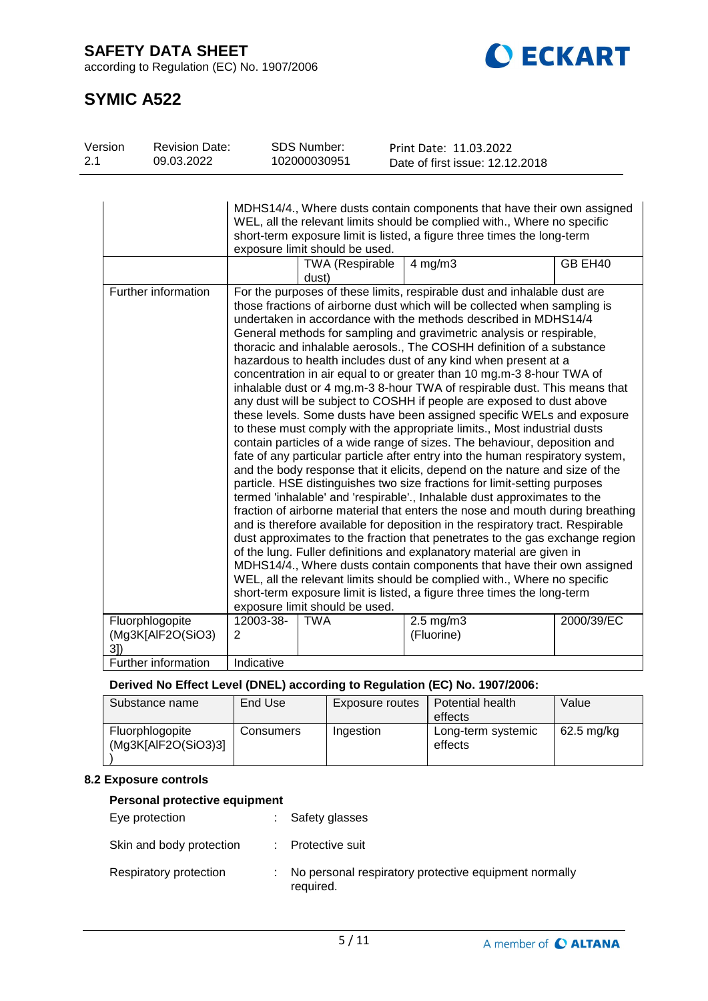**SAFETY DATA SHEET**

according to Regulation (EC) No. 1907/2006



# **SYMIC A522**

| Version<br>2.1 | <b>Revision Date:</b><br>09.03.2022         |                | <b>SDS Number:</b><br>102000030951 | Print Date: 11.03.2022<br>Date of first issue: 12.12.2018                                                                                                                                                                                                                                                                                                                                                                                                                                                                                                                                                                                                                                                                                                                                                                                                                                                                                                                                                                                                                                                                                                                                                                                                                                                                                                                                                                                                                                                                                                                                                                                                                                                                                                                                             |            |
|----------------|---------------------------------------------|----------------|------------------------------------|-------------------------------------------------------------------------------------------------------------------------------------------------------------------------------------------------------------------------------------------------------------------------------------------------------------------------------------------------------------------------------------------------------------------------------------------------------------------------------------------------------------------------------------------------------------------------------------------------------------------------------------------------------------------------------------------------------------------------------------------------------------------------------------------------------------------------------------------------------------------------------------------------------------------------------------------------------------------------------------------------------------------------------------------------------------------------------------------------------------------------------------------------------------------------------------------------------------------------------------------------------------------------------------------------------------------------------------------------------------------------------------------------------------------------------------------------------------------------------------------------------------------------------------------------------------------------------------------------------------------------------------------------------------------------------------------------------------------------------------------------------------------------------------------------------|------------|
|                |                                             |                | exposure limit should be used.     | MDHS14/4., Where dusts contain components that have their own assigned<br>WEL, all the relevant limits should be complied with., Where no specific<br>short-term exposure limit is listed, a figure three times the long-term                                                                                                                                                                                                                                                                                                                                                                                                                                                                                                                                                                                                                                                                                                                                                                                                                                                                                                                                                                                                                                                                                                                                                                                                                                                                                                                                                                                                                                                                                                                                                                         |            |
|                |                                             |                | <b>TWA (Respirable</b><br>dust)    | $4$ mg/m $3$                                                                                                                                                                                                                                                                                                                                                                                                                                                                                                                                                                                                                                                                                                                                                                                                                                                                                                                                                                                                                                                                                                                                                                                                                                                                                                                                                                                                                                                                                                                                                                                                                                                                                                                                                                                          | GB EH40    |
|                | Further information                         |                | exposure limit should be used.     | For the purposes of these limits, respirable dust and inhalable dust are<br>those fractions of airborne dust which will be collected when sampling is<br>undertaken in accordance with the methods described in MDHS14/4<br>General methods for sampling and gravimetric analysis or respirable,<br>thoracic and inhalable aerosols., The COSHH definition of a substance<br>hazardous to health includes dust of any kind when present at a<br>concentration in air equal to or greater than 10 mg.m-3 8-hour TWA of<br>inhalable dust or 4 mg.m-3 8-hour TWA of respirable dust. This means that<br>any dust will be subject to COSHH if people are exposed to dust above<br>these levels. Some dusts have been assigned specific WELs and exposure<br>to these must comply with the appropriate limits., Most industrial dusts<br>contain particles of a wide range of sizes. The behaviour, deposition and<br>fate of any particular particle after entry into the human respiratory system,<br>and the body response that it elicits, depend on the nature and size of the<br>particle. HSE distinguishes two size fractions for limit-setting purposes<br>termed 'inhalable' and 'respirable'., Inhalable dust approximates to the<br>fraction of airborne material that enters the nose and mouth during breathing<br>and is therefore available for deposition in the respiratory tract. Respirable<br>dust approximates to the fraction that penetrates to the gas exchange region<br>of the lung. Fuller definitions and explanatory material are given in<br>MDHS14/4., Where dusts contain components that have their own assigned<br>WEL, all the relevant limits should be complied with., Where no specific<br>short-term exposure limit is listed, a figure three times the long-term |            |
|                | Fluorphlogopite<br>(Mg3K[AlF2O(SiO3)<br>3]) | 12003-38-<br>2 | <b>TWA</b>                         | $2.5$ mg/m $3$<br>(Fluorine)                                                                                                                                                                                                                                                                                                                                                                                                                                                                                                                                                                                                                                                                                                                                                                                                                                                                                                                                                                                                                                                                                                                                                                                                                                                                                                                                                                                                                                                                                                                                                                                                                                                                                                                                                                          | 2000/39/EC |
|                | Further information                         | Indicative     |                                    |                                                                                                                                                                                                                                                                                                                                                                                                                                                                                                                                                                                                                                                                                                                                                                                                                                                                                                                                                                                                                                                                                                                                                                                                                                                                                                                                                                                                                                                                                                                                                                                                                                                                                                                                                                                                       |            |

## **Derived No Effect Level (DNEL) according to Regulation (EC) No. 1907/2006:**

| Substance name                         | End Use   | Exposure routes | Potential health<br>effects   | Value        |
|----------------------------------------|-----------|-----------------|-------------------------------|--------------|
| Fluorphlogopite<br>(Mg3K[AlF2O(SiO3)3] | Consumers | Ingestion       | Long-term systemic<br>effects | $62.5$ mg/kg |

## **8.2 Exposure controls**

## **Personal protective equipment**

| Eye protection           | : Safety glasses                                                     |
|--------------------------|----------------------------------------------------------------------|
| Skin and body protection | : Protective suit                                                    |
| Respiratory protection   | : No personal respiratory protective equipment normally<br>required. |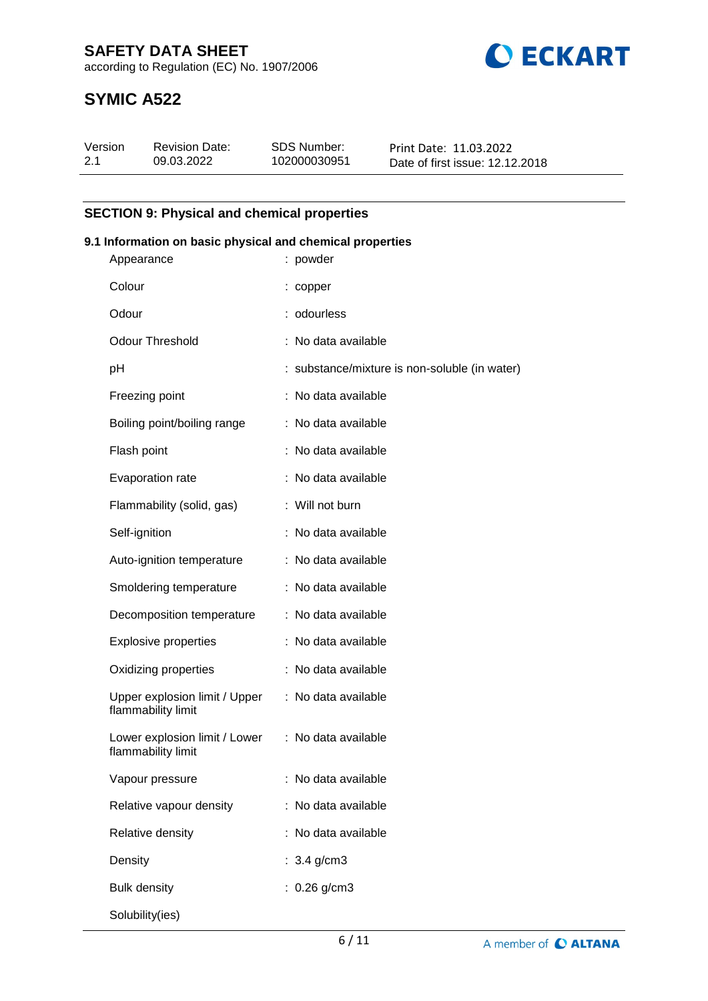**SAFETY DATA SHEET**





## **SYMIC A522**

| Version | <b>Revision Date:</b> | SDS Number:  | Print Date: 11.03.2022          |
|---------|-----------------------|--------------|---------------------------------|
| 2.1     | 09.03.2022            | 102000030951 | Date of first issue: 12.12.2018 |

## **SECTION 9: Physical and chemical properties**

## **9.1 Information on basic physical and chemical properties**

| Appearance                                          | : powder                                      |
|-----------------------------------------------------|-----------------------------------------------|
| Colour                                              | : copper                                      |
| Odour                                               | : odourless                                   |
| <b>Odour Threshold</b>                              | : No data available                           |
| pH                                                  | : substance/mixture is non-soluble (in water) |
| Freezing point                                      | : No data available                           |
| Boiling point/boiling range                         | : No data available                           |
| Flash point                                         | : No data available                           |
| Evaporation rate                                    | : No data available                           |
| Flammability (solid, gas)                           | : Will not burn                               |
| Self-ignition                                       | : No data available                           |
| Auto-ignition temperature                           | : No data available                           |
| Smoldering temperature                              | : No data available                           |
| Decomposition temperature                           | : No data available                           |
| <b>Explosive properties</b>                         | : No data available                           |
| Oxidizing properties                                | : No data available                           |
| Upper explosion limit / Upper<br>flammability limit | : No data available                           |
| Lower explosion limit / Lower<br>flammability limit | : No data available                           |
| Vapour pressure                                     | : No data available                           |
| Relative vapour density                             | : No data available                           |
| Relative density                                    | No data available                             |
| Density                                             | : $3.4$ g/cm3                                 |
| <b>Bulk density</b>                                 | : $0.26$ g/cm3                                |
| Solubility(ies)                                     |                                               |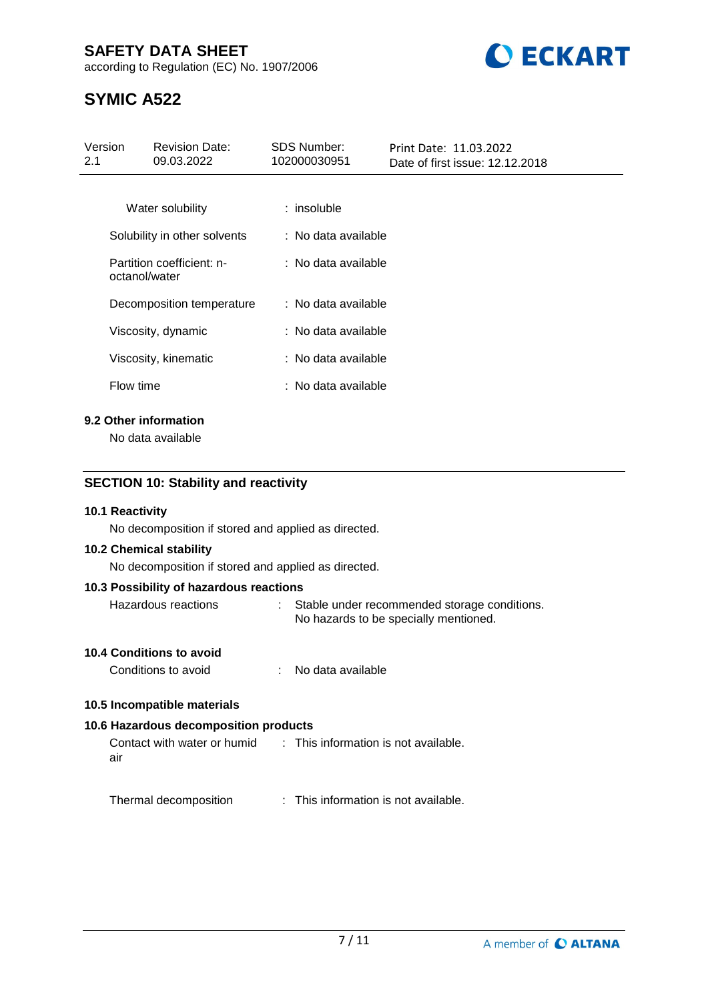## **SAFETY DATA SHEET**

according to Regulation (EC) No. 1907/2006



# **SYMIC A522**

| Version<br>2.1 | <b>Revision Date:</b><br>09.03.2022        | <b>SDS Number:</b><br>102000030951 | Print Date: 11.03.2022<br>Date of first issue: 12.12.2018 |
|----------------|--------------------------------------------|------------------------------------|-----------------------------------------------------------|
|                |                                            |                                    |                                                           |
|                | Water solubility                           | $:$ insoluble                      |                                                           |
|                | Solubility in other solvents               | : No data available                |                                                           |
|                | Partition coefficient: n-<br>octanol/water | : No data available                |                                                           |
|                | Decomposition temperature                  | : No data available                |                                                           |
|                | Viscosity, dynamic                         | : No data available                |                                                           |
|                | Viscosity, kinematic                       | : No data available                |                                                           |
|                | Flow time                                  | : No data available                |                                                           |
|                | 9.2 Other information                      |                                    |                                                           |

No data available

## **SECTION 10: Stability and reactivity**

## **10.1 Reactivity**

No decomposition if stored and applied as directed.

#### **10.2 Chemical stability**

No decomposition if stored and applied as directed.

#### **10.3 Possibility of hazardous reactions**

Hazardous reactions : Stable under recommended storage conditions. No hazards to be specially mentioned.

## **10.4 Conditions to avoid**

Conditions to avoid : No data available

## **10.5 Incompatible materials**

## **10.6 Hazardous decomposition products**

Contact with water or humid air : This information is not available.

Thermal decomposition : This information is not available.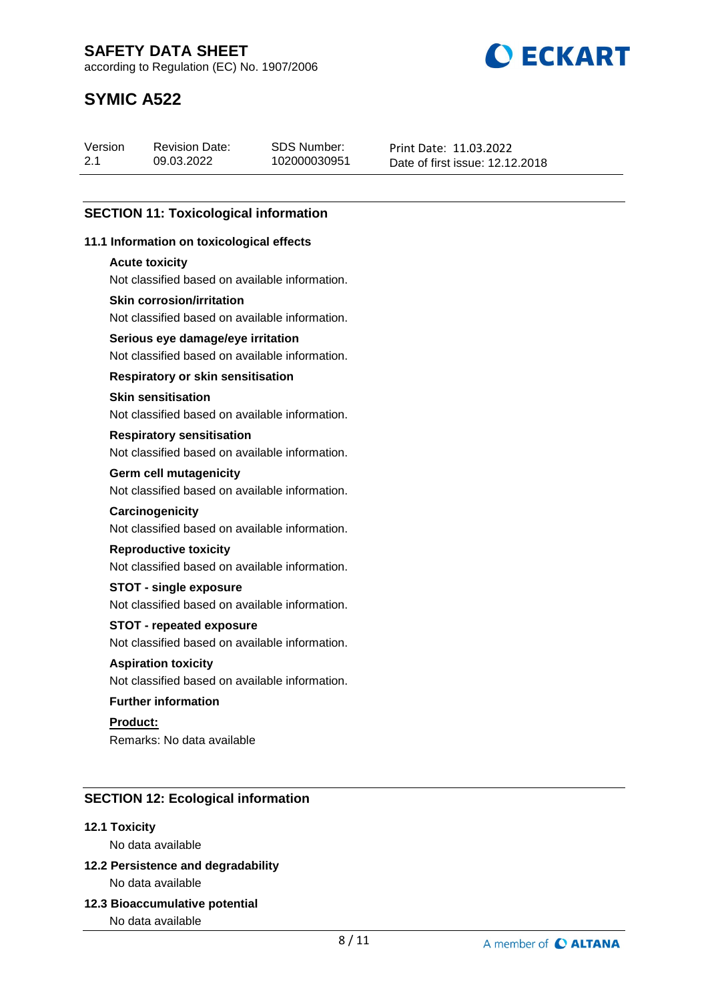**BECKART** 

according to Regulation (EC) No. 1907/2006

# **SYMIC A522**

| Version | <b>Revision Date:</b> | SDS Number:  | Print Date: 11.03.2022          |
|---------|-----------------------|--------------|---------------------------------|
| 2.1     | 09.03.2022            | 102000030951 | Date of first issue: 12.12.2018 |

## **SECTION 11: Toxicological information**

## **11.1 Information on toxicological effects**

#### **Acute toxicity**

Not classified based on available information.

## **Skin corrosion/irritation**

Not classified based on available information.

## **Serious eye damage/eye irritation**

Not classified based on available information.

## **Respiratory or skin sensitisation**

## **Skin sensitisation**

Not classified based on available information.

#### **Respiratory sensitisation**

Not classified based on available information.

#### **Germ cell mutagenicity**

Not classified based on available information.

#### **Carcinogenicity**

Not classified based on available information.

## **Reproductive toxicity**

Not classified based on available information.

## **STOT - single exposure**

Not classified based on available information.

## **STOT - repeated exposure**

Not classified based on available information.

## **Aspiration toxicity**

Not classified based on available information.

## **Further information**

**Product:** Remarks: No data available

## **SECTION 12: Ecological information**

## **12.1 Toxicity**

No data available

## **12.2 Persistence and degradability** No data available

**12.3 Bioaccumulative potential**

No data available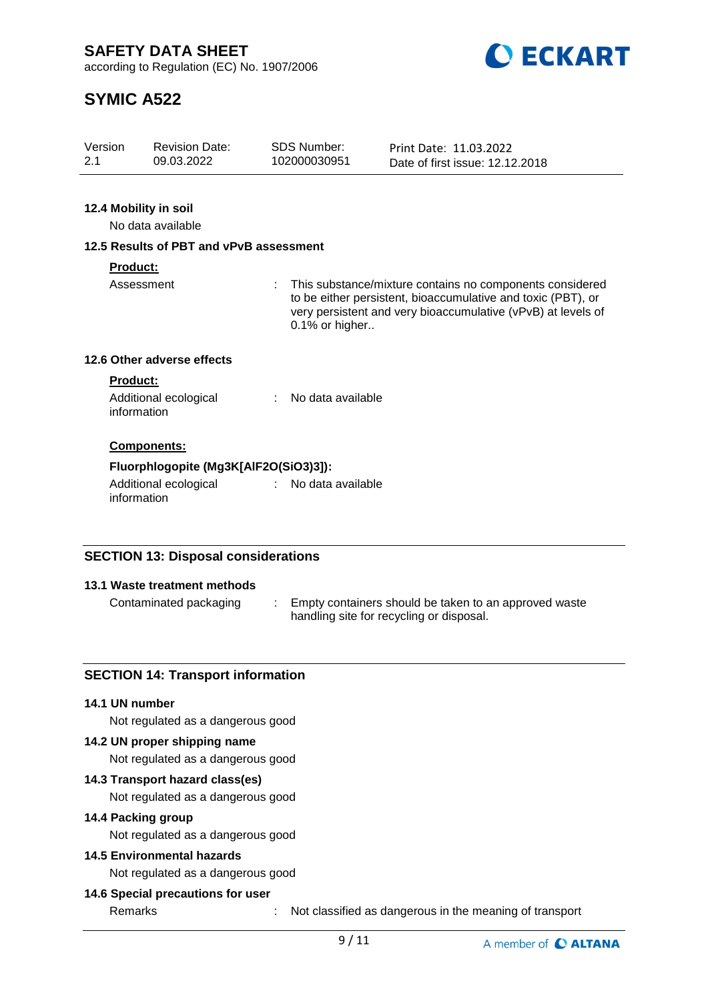**ECKART** 

according to Regulation (EC) No. 1907/2006

# **SYMIC A522**

| Version | <b>Revision Date:</b> | SDS Number:  | Print Date: 11.03.2022          |
|---------|-----------------------|--------------|---------------------------------|
| 2.1     | 09.03.2022            | 102000030951 |                                 |
|         |                       |              | Date of first issue: 12.12.2018 |

## **12.4 Mobility in soil**

No data available

## **12.5 Results of PBT and vPvB assessment**

## **Product:**

Assessment : This substance/mixture contains no components considered to be either persistent, bioaccumulative and toxic (PBT), or very persistent and very bioaccumulative (vPvB) at levels of 0.1% or higher..

## **12.6 Other adverse effects**

#### **Product:**

| Additional ecological | No data available |
|-----------------------|-------------------|
| information           |                   |

## **Components:**

## **Fluorphlogopite (Mg3K[AlF2O(SiO3)3]):**

Additional ecological information : No data available

## **SECTION 13: Disposal considerations**

## **13.1 Waste treatment methods**

Contaminated packaging : Empty containers should be taken to an approved waste handling site for recycling or disposal.

## **SECTION 14: Transport information**

#### **14.1 UN number**

Not regulated as a dangerous good

## **14.2 UN proper shipping name**

Not regulated as a dangerous good

## **14.3 Transport hazard class(es)**

Not regulated as a dangerous good

## **14.4 Packing group**

Not regulated as a dangerous good

## **14.5 Environmental hazards**

Not regulated as a dangerous good

## **14.6 Special precautions for user**

Remarks : Not classified as dangerous in the meaning of transport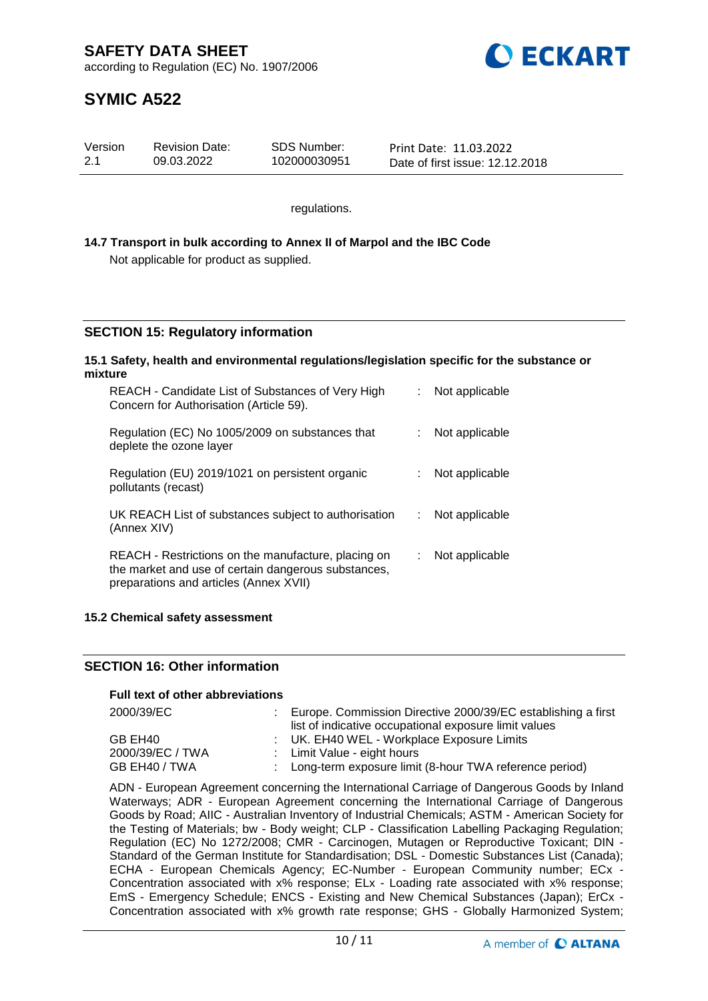

# **SYMIC A522**

| Version | <b>Revision Date:</b> | <b>SDS Number:</b> | Print Date: 11.03.2022          |
|---------|-----------------------|--------------------|---------------------------------|
| 2.1     | 09.03.2022            | 102000030951       | Date of first issue: 12.12.2018 |

regulations.

## **14.7 Transport in bulk according to Annex II of Marpol and the IBC Code** Not applicable for product as supplied.

## **SECTION 15: Regulatory information**

#### **15.1 Safety, health and environmental regulations/legislation specific for the substance or mixture**

| REACH - Candidate List of Substances of Very High<br>Concern for Authorisation (Article 59).                                                         |    | Not applicable |
|------------------------------------------------------------------------------------------------------------------------------------------------------|----|----------------|
| Regulation (EC) No 1005/2009 on substances that<br>deplete the ozone layer                                                                           |    | Not applicable |
| Regulation (EU) 2019/1021 on persistent organic<br>pollutants (recast)                                                                               |    | Not applicable |
| UK REACH List of substances subject to authorisation<br>(Annex XIV)                                                                                  | t. | Not applicable |
| REACH - Restrictions on the manufacture, placing on<br>the market and use of certain dangerous substances,<br>preparations and articles (Annex XVII) |    | Not applicable |

## **15.2 Chemical safety assessment**

## **SECTION 16: Other information**

## **Full text of other abbreviations**

| 2000/39/EC       | : Europe. Commission Directive 2000/39/EC establishing a first<br>list of indicative occupational exposure limit values |
|------------------|-------------------------------------------------------------------------------------------------------------------------|
| GB EH40          | : UK. EH40 WEL - Workplace Exposure Limits                                                                              |
| 2000/39/EC / TWA | : Limit Value - eight hours                                                                                             |
| GB EH40 / TWA    | : Long-term exposure limit (8-hour TWA reference period)                                                                |

ADN - European Agreement concerning the International Carriage of Dangerous Goods by Inland Waterways; ADR - European Agreement concerning the International Carriage of Dangerous Goods by Road; AIIC - Australian Inventory of Industrial Chemicals; ASTM - American Society for the Testing of Materials; bw - Body weight; CLP - Classification Labelling Packaging Regulation; Regulation (EC) No 1272/2008; CMR - Carcinogen, Mutagen or Reproductive Toxicant; DIN - Standard of the German Institute for Standardisation; DSL - Domestic Substances List (Canada); ECHA - European Chemicals Agency; EC-Number - European Community number; ECx - Concentration associated with x% response; ELx - Loading rate associated with x% response; EmS - Emergency Schedule; ENCS - Existing and New Chemical Substances (Japan); ErCx - Concentration associated with x% growth rate response; GHS - Globally Harmonized System;